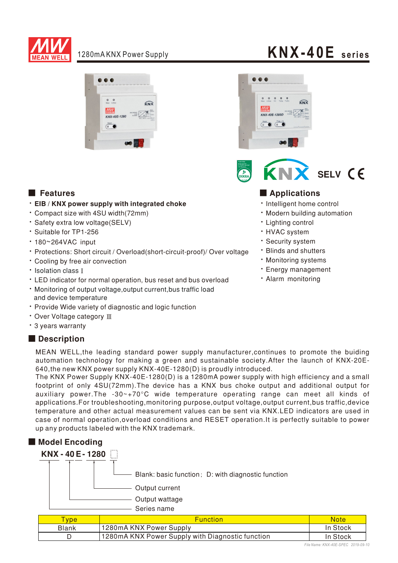

### 1280mA KNX Power Supply



- . EIB / KNX power supply with integrated choke
- Compact size with 4SU width(72mm)
- · Safety extra low voltage(SELV)
- · Suitable for TP1-256
- 180~264VAC input
- Protections: Short circuit / Overload(short-circuit-proof)/ Over voltage
- Cooling by free air convection
- Isolation class I
- LED indicator for normal operation, bus reset and bus overload
- . Monitoring of output voltage.output current.bus traffic load and device temperature
- Provide Wide variety of diagnostic and logic function
- Over Voltage category III
- 3 years warranty

#### Description





### ■ Features ■ Particular and Particular and Particular and Particular and Particular and Particular and Particular and Particular and Particular and Particular and Particular and Particular and Particular and Particular an

- · Intelligent home control
- · Modern building automation
- Lighting control
- HVAC system
- · Security system
- **· Blinds and shutters**
- **· Monitoring systems**
- **· Energy management**
- Alarm monitoring

MEAN WELL, the leading standard power supply manufacturer, continues to promote the buiding automation technology for making a green and sustainable society. After the launch of KNX-20E-640, the new KNX power supply KNX-40E-1280(D) is proudly introduced.

The KNX Power Supply KNX-40E-1280(D) is a 1280mA power supply with high efficiency and a small footprint of only 4SU(72mm). The device has a KNX bus choke output and additional output for auxiliary power. The -30~+70°C wide temperature operating range can meet all kinds of applications. For troubleshooting, monitoring purpose, output voltage, output current, bus traffic, device temperature and other actual measurement values can be sent via KNX.LED indicators are used in case of normal operation, overload conditions and RESET operation. It is perfectly suitable to power up any products labeled with the KNX trademark.



| <b>vpe</b>   | <b>Function</b>                                  | Note     |
|--------------|--------------------------------------------------|----------|
| <b>Blank</b> | 1280mA KNX Power Supply                          | In Stock |
|              | 1280mA KNX Power Supply with Diagnostic function | In Stock |

### **KNX-40E seri es**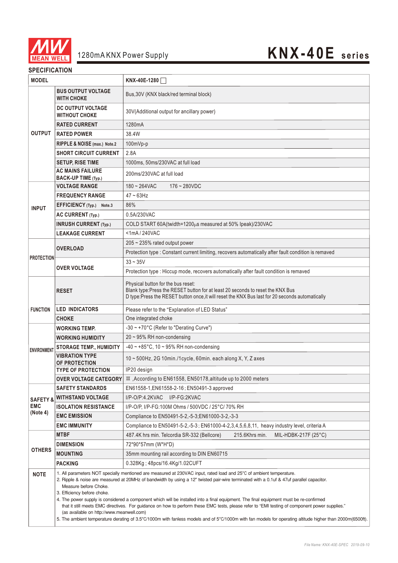

## 1280mA KNX Power Supply **KNX-40E series**

#### **SPECIFICATION**

| <b>MODEL</b>           |                                                                                                                                                                                                                                                                                                                                                                                                                                                                                                                                                                                                                                                                                                                                                                                                                               | KNX-40E-1280                                                                                                                                                                                                             |  |  |  |
|------------------------|-------------------------------------------------------------------------------------------------------------------------------------------------------------------------------------------------------------------------------------------------------------------------------------------------------------------------------------------------------------------------------------------------------------------------------------------------------------------------------------------------------------------------------------------------------------------------------------------------------------------------------------------------------------------------------------------------------------------------------------------------------------------------------------------------------------------------------|--------------------------------------------------------------------------------------------------------------------------------------------------------------------------------------------------------------------------|--|--|--|
|                        | <b>BUS OUTPUT VOLTAGE</b><br><b>WITH CHOKE</b>                                                                                                                                                                                                                                                                                                                                                                                                                                                                                                                                                                                                                                                                                                                                                                                | Bus, 30V (KNX black/red terminal block)                                                                                                                                                                                  |  |  |  |
|                        | DC OUTPUT VOLTAGE<br><b>WITHOUT CHOKE</b>                                                                                                                                                                                                                                                                                                                                                                                                                                                                                                                                                                                                                                                                                                                                                                                     | 30V(Additional output for ancillary power)                                                                                                                                                                               |  |  |  |
|                        | <b>RATED CURRENT</b>                                                                                                                                                                                                                                                                                                                                                                                                                                                                                                                                                                                                                                                                                                                                                                                                          | 1280mA                                                                                                                                                                                                                   |  |  |  |
| <b>OUTPUT</b>          | <b>RATED POWER</b>                                                                                                                                                                                                                                                                                                                                                                                                                                                                                                                                                                                                                                                                                                                                                                                                            | 38.4W                                                                                                                                                                                                                    |  |  |  |
|                        | RIPPLE & NOISE (max.) Note.2                                                                                                                                                                                                                                                                                                                                                                                                                                                                                                                                                                                                                                                                                                                                                                                                  | 100mVp-p                                                                                                                                                                                                                 |  |  |  |
|                        | <b>SHORT CIRCUIT CURRENT</b>                                                                                                                                                                                                                                                                                                                                                                                                                                                                                                                                                                                                                                                                                                                                                                                                  | 2.8A                                                                                                                                                                                                                     |  |  |  |
|                        | <b>SETUP, RISE TIME</b>                                                                                                                                                                                                                                                                                                                                                                                                                                                                                                                                                                                                                                                                                                                                                                                                       | 1000ms, 50ms/230VAC at full load                                                                                                                                                                                         |  |  |  |
|                        | <b>AC MAINS FAILURE</b><br>BACK-UP TIME (Typ.)                                                                                                                                                                                                                                                                                                                                                                                                                                                                                                                                                                                                                                                                                                                                                                                | 200ms/230VAC at full load                                                                                                                                                                                                |  |  |  |
|                        | <b>VOLTAGE RANGE</b>                                                                                                                                                                                                                                                                                                                                                                                                                                                                                                                                                                                                                                                                                                                                                                                                          | $180 - 264$ VAC<br>$176 - 280$ VDC                                                                                                                                                                                       |  |  |  |
| <b>INPUT</b>           | <b>FREQUENCY RANGE</b>                                                                                                                                                                                                                                                                                                                                                                                                                                                                                                                                                                                                                                                                                                                                                                                                        | $47 - 63$ Hz                                                                                                                                                                                                             |  |  |  |
|                        | EFFICIENCY (Typ.) Note.3                                                                                                                                                                                                                                                                                                                                                                                                                                                                                                                                                                                                                                                                                                                                                                                                      | 86%                                                                                                                                                                                                                      |  |  |  |
|                        | <b>AC CURRENT (Typ.)</b>                                                                                                                                                                                                                                                                                                                                                                                                                                                                                                                                                                                                                                                                                                                                                                                                      | 0.5A/230VAC                                                                                                                                                                                                              |  |  |  |
|                        | <b>INRUSH CURRENT (Typ.)</b>                                                                                                                                                                                                                                                                                                                                                                                                                                                                                                                                                                                                                                                                                                                                                                                                  | COLD START 60A(twidth=1200µs measured at 50% Ipeak)/230VAC                                                                                                                                                               |  |  |  |
|                        | <b>LEAKAGE CURRENT</b>                                                                                                                                                                                                                                                                                                                                                                                                                                                                                                                                                                                                                                                                                                                                                                                                        | <1mA/240VAC                                                                                                                                                                                                              |  |  |  |
|                        | <b>OVERLOAD</b>                                                                                                                                                                                                                                                                                                                                                                                                                                                                                                                                                                                                                                                                                                                                                                                                               | 205 ~ 235% rated output power                                                                                                                                                                                            |  |  |  |
| <b>PROTECTION</b>      |                                                                                                                                                                                                                                                                                                                                                                                                                                                                                                                                                                                                                                                                                                                                                                                                                               | Protection type : Constant current limiting, recovers automatically after fault condition is remaved                                                                                                                     |  |  |  |
|                        | <b>OVER VOLTAGE</b>                                                                                                                                                                                                                                                                                                                                                                                                                                                                                                                                                                                                                                                                                                                                                                                                           | $33 - 35V$                                                                                                                                                                                                               |  |  |  |
|                        |                                                                                                                                                                                                                                                                                                                                                                                                                                                                                                                                                                                                                                                                                                                                                                                                                               | Protection type : Hiccup mode, recovers automatically after fault condition is remaved                                                                                                                                   |  |  |  |
|                        | <b>RESET</b>                                                                                                                                                                                                                                                                                                                                                                                                                                                                                                                                                                                                                                                                                                                                                                                                                  | Physical button for the bus reset:<br>Blank type: Press the RESET button for at least 20 seconds to reset the KNX Bus<br>D type:Press the RESET button once, it will reset the KNX Bus last for 20 seconds automatically |  |  |  |
| <b>FUNCTION</b>        | <b>LED INDICATORS</b>                                                                                                                                                                                                                                                                                                                                                                                                                                                                                                                                                                                                                                                                                                                                                                                                         | Please refer to the "Explanation of LED Status"                                                                                                                                                                          |  |  |  |
|                        | <b>CHOKE</b>                                                                                                                                                                                                                                                                                                                                                                                                                                                                                                                                                                                                                                                                                                                                                                                                                  | One integrated choke                                                                                                                                                                                                     |  |  |  |
|                        | WORKING TEMP.                                                                                                                                                                                                                                                                                                                                                                                                                                                                                                                                                                                                                                                                                                                                                                                                                 | -30 ~ +70°C (Refer to "Derating Curve")                                                                                                                                                                                  |  |  |  |
|                        | <b>WORKING HUMIDITY</b>                                                                                                                                                                                                                                                                                                                                                                                                                                                                                                                                                                                                                                                                                                                                                                                                       | 20 ~ 95% RH non-condensing                                                                                                                                                                                               |  |  |  |
| <b>ENVIRONMENT</b>     | <b>STORAGE TEMP., HUMIDITY</b>                                                                                                                                                                                                                                                                                                                                                                                                                                                                                                                                                                                                                                                                                                                                                                                                | $-40 \sim +85^{\circ}$ C, 10 ~ 95% RH non-condensing                                                                                                                                                                     |  |  |  |
|                        | <b>VIBRATION TYPE</b><br>OF PROTECTION                                                                                                                                                                                                                                                                                                                                                                                                                                                                                                                                                                                                                                                                                                                                                                                        | 10~500Hz, 2G 10min./1cycle, 60min. each along X, Y, Z axes                                                                                                                                                               |  |  |  |
|                        | <b>TYPE OF PROTECTION</b>                                                                                                                                                                                                                                                                                                                                                                                                                                                                                                                                                                                                                                                                                                                                                                                                     | IP20 design                                                                                                                                                                                                              |  |  |  |
|                        | <b>OVER VOLTAGE CATEGORY</b>                                                                                                                                                                                                                                                                                                                                                                                                                                                                                                                                                                                                                                                                                                                                                                                                  | III, According to EN61558, EN50178, altitude up to 2000 meters                                                                                                                                                           |  |  |  |
|                        | <b>SAFETY STANDARDS</b>                                                                                                                                                                                                                                                                                                                                                                                                                                                                                                                                                                                                                                                                                                                                                                                                       | EN61558-1, EN61558-2-16; EN50491-3 approved                                                                                                                                                                              |  |  |  |
| <b>SAFETY &amp;</b>    | <b>WITHSTAND VOLTAGE</b>                                                                                                                                                                                                                                                                                                                                                                                                                                                                                                                                                                                                                                                                                                                                                                                                      | I/P-O/P:4.2KVAC<br>I/P-FG:2KVAC                                                                                                                                                                                          |  |  |  |
| <b>EMC</b><br>(Note 4) | <b>ISOLATION RESISTANCE</b>                                                                                                                                                                                                                                                                                                                                                                                                                                                                                                                                                                                                                                                                                                                                                                                                   | I/P-O/P, I/P-FG:100M Ohms / 500VDC / 25°C/ 70% RH                                                                                                                                                                        |  |  |  |
|                        | <b>EMC EMISSION</b>                                                                                                                                                                                                                                                                                                                                                                                                                                                                                                                                                                                                                                                                                                                                                                                                           | Compliance to EN50491-5-2,-5-3;EN61000-3-2,-3-3                                                                                                                                                                          |  |  |  |
|                        | <b>EMC IMMUNITY</b>                                                                                                                                                                                                                                                                                                                                                                                                                                                                                                                                                                                                                                                                                                                                                                                                           | Compliance to EN50491-5-2,-5-3; EN61000-4-2,3,4,5,6,8,11, heavy industry level, criteria A                                                                                                                               |  |  |  |
| <b>OTHERS</b>          | <b>MTBF</b>                                                                                                                                                                                                                                                                                                                                                                                                                                                                                                                                                                                                                                                                                                                                                                                                                   | 487.4K hrs min. Telcordia SR-332 (Bellcore)<br>215.6Khrs min.<br>MIL-HDBK-217F (25°C)                                                                                                                                    |  |  |  |
|                        | <b>DIMENSION</b>                                                                                                                                                                                                                                                                                                                                                                                                                                                                                                                                                                                                                                                                                                                                                                                                              | 72*90*57mm (W*H*D)                                                                                                                                                                                                       |  |  |  |
|                        | <b>MOUNTING</b>                                                                                                                                                                                                                                                                                                                                                                                                                                                                                                                                                                                                                                                                                                                                                                                                               | 35mm mounting rail according to DIN EN60715                                                                                                                                                                              |  |  |  |
|                        | <b>PACKING</b>                                                                                                                                                                                                                                                                                                                                                                                                                                                                                                                                                                                                                                                                                                                                                                                                                | 0.328Kg; 48pcs/16.4Kg/1.02CUFT                                                                                                                                                                                           |  |  |  |
| <b>NOTE</b>            | 1. All parameters NOT specially mentioned are measured at 230VAC input, rated load and 25°C of ambient temperature.<br>2. Ripple & noise are measured at 20MHz of bandwidth by using a 12" twisted pair-wire terminated with a 0.1uf & 47uf parallel capacitor.<br>Measure before Choke.<br>3. Efficiency before choke.<br>4. The power supply is considered a component which will be installed into a final equipment. The final equipment must be re-confirmed<br>that it still meets EMC directives. For guidance on how to perform these EMC tests, please refer to "EMI testing of component power supplies."<br>(as available on http://www.meanwell.com)<br>5. The ambient temperature derating of 3.5°C/1000m with fanless models and of 5°C/1000m with fan models for operating altitude higher than 2000m(6500ft). |                                                                                                                                                                                                                          |  |  |  |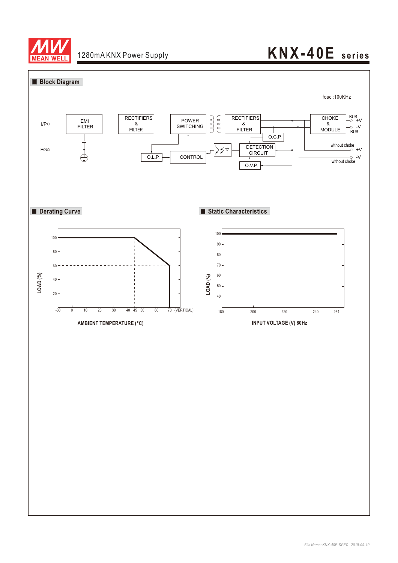

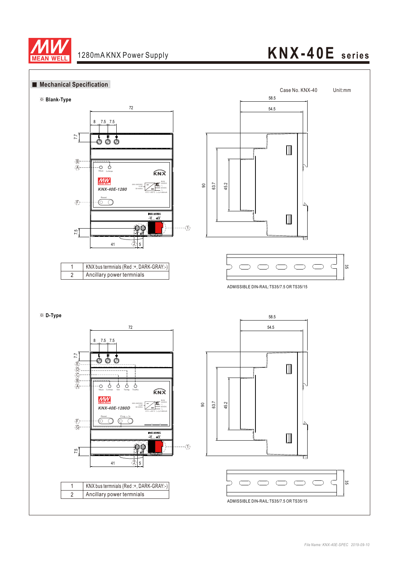

# **KNX-40E seri es**



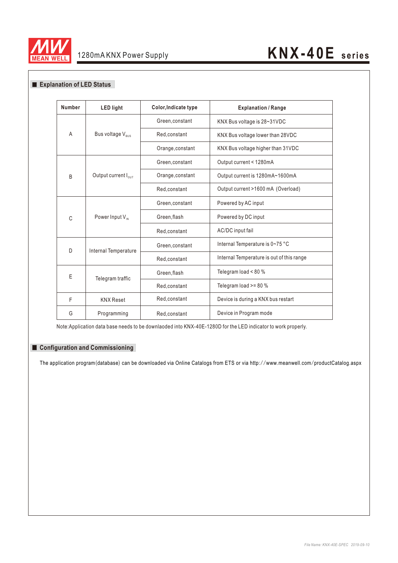

#### **Explanation of LED Status**

| <b>Number</b> | <b>LED light</b>                | Color, Indicate type | <b>Explanation / Range</b>                |
|---------------|---------------------------------|----------------------|-------------------------------------------|
| A             | Bus voltage V <sub>BUS</sub>    | Green, constant      | KNX Bus voltage is 28~31VDC               |
|               |                                 | Red,constant         | KNX Bus voltage lower than 28VDC          |
|               |                                 | Orange, constant     | KNX Bus voltage higher than 31VDC         |
| <sub>B</sub>  | Output current $I_{\text{out}}$ | Green, constant      | Output current < 1280mA                   |
|               |                                 | Orange, constant     | Output current is 1280mA~1600mA           |
|               |                                 | Red, constant        | Output current >1600 mA (Overload)        |
| C             | Power Input V <sub>IN</sub>     | Green, constant      | Powered by AC input                       |
|               |                                 | Green, flash         | Powered by DC input                       |
|               |                                 | Red,constant         | AC/DC input fail                          |
| D             | Internal Temperature            | Green, constant      | Internal Temperature is 0~75 °C           |
|               |                                 | Red, constant        | Internal Temperature is out of this range |
| E             | Telegram traffic                | Green, flash         | Telegram load < 80 %                      |
|               |                                 | Red,constant         | Telegram load >= 80 %                     |
| F             | <b>KNX Reset</b>                | Red,constant         | Device is during a KNX bus restart        |
| G             | Programming                     | Red,constant         | Device in Program mode                    |

Note:Application data base needs to be downlaoded into KNX-40E-1280D for the LED indicator to work properly.

#### ■ Configuration and Commissioning

The application program(database) can be downloaded via Online Catalogs from ETS or via http://www.meanwell.com/productCatalog.aspx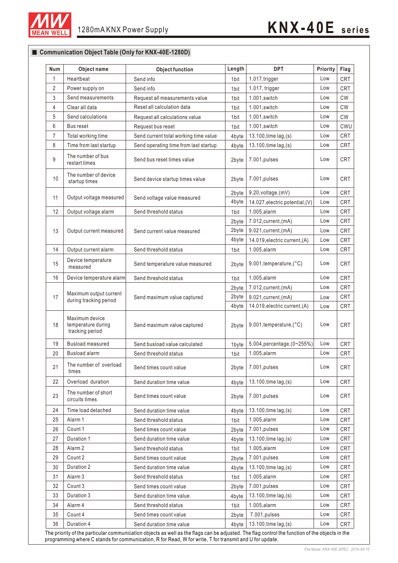

■ Communication Object Table (Only for KNX-40E-1280D)

#### **Num Object name Object function Length** 1 Heartbeat **DPT Priority Flag** Send info 100 and info 1.017, trigger Low CRT 2byte Low CRT 7.012,current,(mA)  $\mathfrak{2}$ 3 4 Send info 1.017, trigger 2.1 Low CRT Send measurements Request all measurements value 1bit 1.001, switch Low CW Clear all data 1bit 1.001,switch Low CW Reset all calculation data5 Send calculations Request all calculations value 1bit 1.001, switch | Low CW 6 7 8 Bus reset Request bus reset 1bit 1.001,switch Low CWU Total working time Send current total working time value  $4$  byte 13.100, time lag, (s) Low CRT Time from last startup Send operating time from last startup  $4$  byte 13.100, time lag,(s) Low CRT The number of bus restart times 9 | Internation bus | Send bus reset times value | 2byte 7.001,pulses | Low CRT 10 11 12 The number of device startup times Send device startup times value | 2byte | 7.001, pulses | Low | CRT Output voltage measured | Send voltage value measured  $2$ byte  $9.20$ , voltage, (mV)  $\vert$  Low  $\vert$  CRT Output voltage alarm Send threshold status 1bit 1.005, alarm Low CRT Power supply on 13 | Output current measured | Send current value measured 2byte 7.012, current, (mA) Low CRT 14 15 16 Output current alarm Send threshold status 1bit 1.005,alarm Low CRT Device temperature measured Send temperature value measured | 2byte 9.001, temperature, (°C) | Low | CRT Device temperature alarm Send threshold status 1 approximate 1 and 1005,alarm 1 cow CRT Maximum output current during tracking period 17 | Maximum vulput current<br>Send maximum value captured 18 19 20 Maximum device temperature during tracking period Send maximum value captured 2byte 9.001, temperature, (°C) Low CRT Busload measured Send busload value calculated 1byte 5.004, percentage,  $(0~255%)$  Low CRT Busload alarm **Send threshold status** 1bit 1.005,alarm **Low CRT** The number of overload times 21 | The number of overload Send times count value 2byte 2.001,pulses 2byte 2.001,pulses 22 Overload duration Send duration time value 4byte 13.100,time lag,(s) Low CRT The number of short circuits times 23 Send times count value 2byte 7.001,pulses Low CRT 24 25 26 Send duration time value  $\vert$  4byte | 13.100, time lag, (s)  $\vert$  Low | CRT Alarm 1 Send threshold status 1bit 1.005,alarm 1 Low CRT Count 1 Send times count value 2byte 7.001,pulses Low CRT 27 | Duration 1 | Send duration time value | 4byte | 13.100,time lag,(s) | Low | CRT 28 29 30 Alarm 2 Send threshold status 1bit 1.005, alarm 1bit Low CRT Count 2 Send times count value 2byte 7.001,pulses Low CRT Duration 2 Send duration time value 4byte 13.100, time lag, (s) Low CRT 31 | Alarm 3 | Send threshold status | 1bit | 1.005,alarm | Low | CRT 32 33 34 Count 3 Send times count value 2byte 7.001, pulses Low CRT Duration 3 Send duration time value | 4byte | 13.100, time lag, (s) | Low | CRT Alarm 4 Send threshold status 1bit 1.005,alarm Low CRT Time load detached 35 Count 4 Send times count value 2byte 7.001,pulses Low CRT 36 | Duration 4 | Send duration time value | 4byte | 13.100,time lag,(s) | Low | CRT 4byte 2byte 4byte 2byte 4byte 14.027,electric potential,(V) 9.021,current,(mA) 14.019,electric current,(A) 14.019,electric current,(A) 9.021,current,(mA) Low Low Low Low  $Low$   $CRT$ CRT CRT CRT CRT

The priority of the particular communication objects as well as the flags can be adjusted. The flag control the function of the objects in the programming where C stands for communication, R for Read, W for write, T for transmit and U for update.